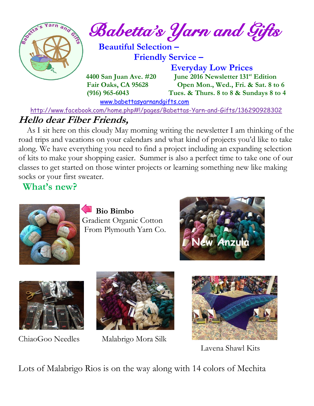

*Babetta's Yarn and Gifts* 

 **Beautiful Selection – Friendly Service –**

 **Everyday Low Prices 4400 San Juan Ave. #20** June 2016 Newsletter 131<sup>st</sup> Edition  **Fair Oaks, CA 95628 Open Mon., Wed., Fri. & Sat. 8 to 6 (916) 965-6043 Tues. & Thurs. 8 to 8 & Sundays 8 to 4** 

[www.babettasyarnandgifts.com](http://www.babettasyarnandgifts.com/)

<http://www.facebook.com/home.php#!/pages/Babettas-Yarn-and-Gifts/136290928302>

## **Hello dear Fiber Friends,**

 As I sit here on this cloudy May morning writing the newsletter I am thinking of the road trips and vacations on your calendars and what kind of projects you'd like to take along. We have everything you need to find a project including an expanding selection of kits to make your shopping easier. Summer is also a perfect time to take one of our classes to get started on those winter projects or learning something new like making socks or your first sweater.

**What's new?**



 **Bio Bimbo** Gradient Organic Cotton From Plymouth Yarn Co.





![](_page_0_Picture_15.jpeg)

ChiaoGoo NeedlesMalabrigo Mora Silk

![](_page_0_Picture_17.jpeg)

Lavena Shawl Kits

Lots of Malabrigo Rios is on the way along with 14 colors of Mechita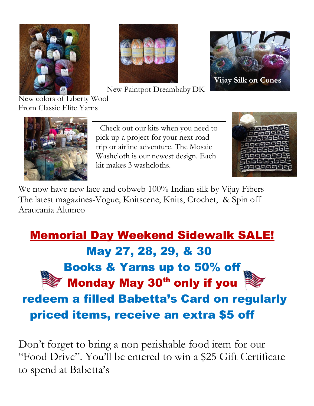![](_page_1_Picture_0.jpeg)

![](_page_1_Picture_1.jpeg)

New Paintpot Dreambaby DK

![](_page_1_Picture_3.jpeg)

New colors of Liberty Wool From Classic Elite Yarns

![](_page_1_Picture_5.jpeg)

![](_page_1_Picture_6.jpeg)

We now have new lace and cobweb 100% Indian silk by Vijay Fibers The latest magazines-Vogue, Knitscene, Knits, Crochet, & Spin off Araucania Alumco

# Memorial Day Weekend Sidewalk SALE! May 27, 28, 29, & 30 Books & Yarns up to 50% off **Monday May 30<sup>th</sup> only if you** redeem a filled Babetta's Card on regularly priced items, receive an extra \$5 off

Don't forget to bring a non perishable food item for our "Food Drive". You'll be entered to win a \$25 Gift Certificate to spend at Babetta's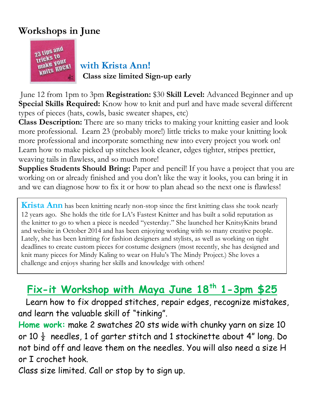## **Workshops in June**

![](_page_2_Picture_1.jpeg)

*<u>with Nour</u>*<br>**WHATE WORK!**<br>**WHATE ROGN!**<br>**WHATE WHATE WHATE WHATEF Class size limited Sign-up early**

June 12 from 1pm to 3pm **Registration:** \$30 **Skill Level:** Advanced Beginner and up **Special Skills Required:** Know how to knit and purl and have made several different types of pieces (hats, cowls, basic sweater shapes, etc)

**Class Description:** There are so many tricks to making your knitting easier and look more professional. Learn 23 (probably more!) little tricks to make your knitting look more professional and incorporate something new into every project you work on! Learn how to make picked up stitches look cleaner, edges tighter, stripes prettier, weaving tails in flawless, and so much more!

**Supplies Students Should Bring:** Paper and pencil! If you have a project that you are working on or already finished and you don't like the way it looks, you can bring it in and we can diagnose how to fix it or how to plan ahead so the next one is flawless!

**Krista Ann** has been knitting nearly non-stop since the first knitting class she took nearly 12 years ago. She holds the title for LA's Fastest Knitter and has built a solid reputation as the knitter to go to when a piece is needed "yesterday." She launched her KnitsyKnits brand and website in October 2014 and has been enjoying working with so many creative people. Lately, she has been knitting for fashion designers and stylists, as well as working on tight deadlines to create custom pieces for costume designers (most recently, she has designed and knit many pieces for Mindy Kaling to wear on Hulu's The Mindy Project.) She loves a challenge and enjoys sharing her skills and knowledge with others!

# **Fix-it Workshop with Maya June 18th 1-3pm \$25**

 Learn how to fix dropped stitches, repair edges, recognize mistakes, and learn the valuable skill of "tinking".

**Home work:** make 2 swatches 20 sts wide with chunky yarn on size 10 or 10  $\frac{1}{2}$  needles, 1 of garter stitch and 1 stockinette about 4" long. Do not bind off and leave them on the needles. You will also need a size H or I crochet hook.

Class size limited. Call or stop by to sign up.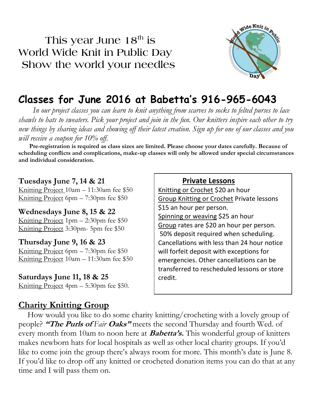**This year June 18th is World Wide Knit in Public Day Show the world your needles**

![](_page_3_Picture_1.jpeg)

## **Classes for June 2016 at Babetta's 916-965-6043**

 *In our project classes you can learn to knit anything from scarves to socks to felted purses to lace shawls to hats to sweaters. Pick your project and join in the fun. Our knitters inspire each other to try new things by sharing ideas and showing off their latest creation. Sign up for one of our classes and you will receive a coupon for 10% off.*

 **Pre-registration is required as class sizes are limited. Please choose your dates carefully. Because of scheduling conflicts and complications, make-up classes will only be allowed under special circumstances and individual consideration.**

#### **Tuesdays June 7, 14 & 21**

Knitting Project 10am – 11:30am fee \$50 Knitting Project 6pm – 7:30pm fee \$50

**Wednesdays June 8, 15 & 22** Knitting Project 1pm – 2:30pm fee \$50 Knitting Project 3:30pm- 5pm fee \$50

**Thursday June 9, 16 & 23** Knitting Project 6pm – 7:30pm fee \$50 Knitting Project 10am – 11:30am fee \$50

**Saturdays June 11, 18 & 25** Knitting Project 4pm – 5:30pm fee \$50.

### **Charity Knitting Group**

#### **Private Lessons**

Knitting or Crochet \$20 an hour Group Knitting or Crochet Private lessons \$15 an hour per person. Spinning or weaving \$25 an hour Group rates are \$20 an hour per person. 50% deposit required when scheduling. Cancellations with less than 24 hour notice will forfeit deposit with exceptions for emergencies. Other cancellations can be transferred to rescheduled lessons or store credit.

 How would you like to do some charity knitting/crocheting with a lovely group of people? **"The Purls of** Fair **Oaks"** meets the second Thursday and fourth Wed. of every month from 10am to noon here at **Babetta's.** This wonderful group of knitters makes newborn hats for local hospitals as well as other local charity groups. If you'd like to come join the group there's always room for more. This month's date is June 8. If you'd like to drop off any knitted or crocheted donation items you can do that at any time and I will pass them on.